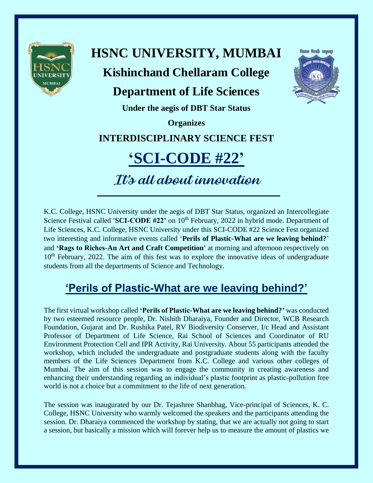

# **HSNC UNIVERSITY, MUMBAI Kishinchand Chellaram College**

### **Department of Life Sciences**



**Under the aegis of DBT Star Status**

**Organizes**

#### **INTERDISCIPLINARY SCIENCE FEST**

## **'SCI-CODE #22'**

It's all about innovation

K.C. College, HSNC University under the aegis of DBT Star Status, organized an Intercollegiate Science Festival called **'SCI-CODE #22'** on 10<sup>th</sup> February, 2022 in hybrid mode. Department of Life Sciences, K.C. College, HSNC University under this SCI-CODE #22 Science Fest organized two interesting and informative events called '**Perils of Plastic-What are we leaving behind?**' and **'Rags to Riches-An Art and Craft Competition'** at morning and afternoon respectively on 10<sup>th</sup> February, 2022. The aim of this fest was to explore the innovative ideas of undergraduate students from all the departments of Science and Technology.

### **'Perils of Plastic-What are we leaving behind?'**

The first virtual workshop called **'Perils of Plastic-What are we leaving behind?'** was conducted by two esteemed resource people, Dr. Nishith Dharaiya, Founder and Director, WCB Research Foundation, Gujarat and Dr. Rushika Patel, RV Biodiversity Conserver, I/c Head and Assistant Professor of Department of Life Science, Rai School of Sciences and Coordinator of RU Environment Protection Cell and IPR Activity, Rai University. About 55 participants attended the workshop, which included the undergraduate and postgraduate students along with the faculty members of the Life Sciences Department from K.C. College and various other colleges of Mumbai. The aim of this session was to engage the community in creating awareness and enhancing their understanding regarding an individual's plastic footprint as plastic-pollution free world is not a choice but a commitment to the life of next generation.

The session was inaugurated by our Dr. Tejashree Shanbhag, Vice-principal of Sciences, K. C. College, HSNC University who warmly welcomed the speakers and the participants attending the session. Dr. Dharaiya commenced the workshop by stating, that we are actually not going to start a session, but basically a mission which will forever help us to measure the amount of plastics we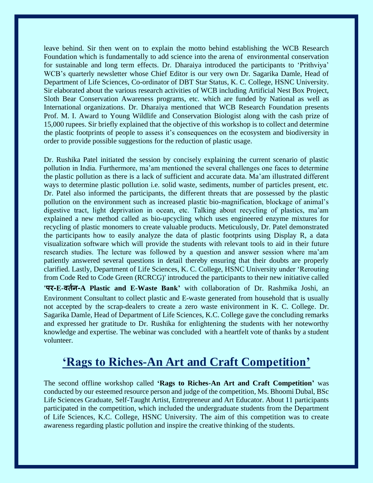leave behind. Sir then went on to explain the motto behind establishing the WCB Research Foundation which is fundamentally to add science into the arena of environmental conservation for sustainable and long term effects. Dr. Dharaiya introduced the participants to 'Prithviya' WCB's quarterly newsletter whose Chief Editor is our very own Dr. Sagarika Damle, Head of Department of Life Sciences, Co-ordinator of DBT Star Status, K. C. College, HSNC University. Sir elaborated about the various research activities of WCB including Artificial Nest Box Project, Sloth Bear Conservation Awareness programs, etc. which are funded by National as well as International organizations. Dr. Dharaiya mentioned that WCB Research Foundation presents Prof. M. I. Award to Young Wildlife and Conservation Biologist along with the cash prize of 15,000 rupees. Sir briefly explained that the objective of this workshop is to collect and determine the plastic footprints of people to assess it's consequences on the ecosystem and biodiversity in order to provide possible suggestions for the reduction of plastic usage.

Dr. Rushika Patel initiated the session by concisely explaining the current scenario of plastic pollution in India. Furthermore, ma'am mentioned the several challenges one faces to determine the plastic pollution as there is a lack of sufficient and accurate data. Ma'am illustrated different ways to determine plastic pollution i.e. solid waste, sediments, number of particles present, etc. Dr. Patel also informed the participants, the different threats that are possessed by the plastic pollution on the environment such as increased plastic bio-magnification, blockage of animal's digestive tract, light deprivation in ocean, etc. Talking about recycling of plastics, ma'am explained a new method called as bio-upcycling which uses engineered enzyme mixtures for recycling of plastic monomers to create valuable products. Meticulously, Dr. Patel demonstrated the participants how to easily analyze the data of plastic footprints using Display R, a data visualization software which will provide the students with relevant tools to aid in their future research studies. The lecture was followed by a question and answer session where ma'am patiently answered several questions in detail thereby ensuring that their doubts are properly clarified. Lastly, Department of Life Sciences, K. C. College, HSNC University under 'Rerouting from Code Red to Code Green (RCRCG)' introduced the participants to their new initiative called **'पर-E-वर्तन-A Plastic and E-Waste Bank'** with collaboration of Dr. Rashmika Joshi, an Environment Consultant to collect plastic and E-waste generated from household that is usually not accepted by the scrap-dealers to create a zero waste enivironment in K. C. College. Dr. Sagarika Damle, Head of Department of Life Sciences, K.C. College gave the concluding remarks and expressed her gratitude to Dr. Rushika for enlightening the students with her noteworthy knowledge and expertise. The webinar was concluded with a heartfelt vote of thanks by a student volunteer.

#### **'Rags to Riches-An Art and Craft Competition'**

The second offline workshop called **'Rags to Riches-An Art and Craft Competition'** was conducted by our esteemed resource person and judge of the competition, Ms. Bhoomi Dubal, BSc Life Sciences Graduate, Self-Taught Artist, Entrepreneur and Art Educator. About 11 participants participated in the competition, which included the undergraduate students from the Department of Life Sciences, K.C. College, HSNC University. The aim of this competition was to create awareness regarding plastic pollution and inspire the creative thinking of the students.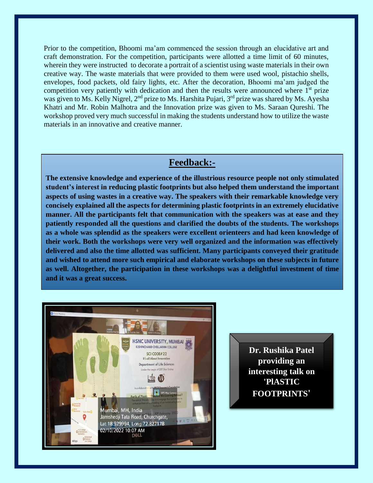Prior to the competition, Bhoomi ma'am commenced the session through an elucidative art and craft demonstration. For the competition, participants were allotted a time limit of 60 minutes, wherein they were instructed to decorate a portrait of a scientist using waste materials in their own creative way. The waste materials that were provided to them were used wool, pistachio shells, envelopes, food packets, old fairy lights, etc. After the decoration, Bhoomi ma'am judged the competition very patiently with dedication and then the results were announced where 1<sup>st</sup> prize was given to Ms. Kelly Nigrel, 2<sup>nd</sup> prize to Ms. Harshita Pujari, 3<sup>rd</sup> prize was shared by Ms. Ayesha Khatri and Mr. Robin Malhotra and the Innovation prize was given to Ms. Saraan Qureshi. The workshop proved very much successful in making the students understand how to utilize the waste materials in an innovative and creative manner.

#### **Feedback:-**

**The extensive knowledge and experience of the illustrious resource people not only stimulated student's interest in reducing plastic footprints but also helped them understand the important aspects of using wastes in a creative way. The speakers with their remarkable knowledge very concisely explained all the aspects for determining plastic footprints in an extremely elucidative manner. All the participants felt that communication with the speakers was at ease and they patiently responded all the questions and clarified the doubts of the students. The workshops as a whole was splendid as the speakers were excellent orienteers and had keen knowledge of their work. Both the workshops were very well organized and the information was effectively delivered and also the time allotted was sufficient. Many participants conveyed their gratitude and wished to attend more such empirical and elaborate workshops on these subjects in future as well. Altogether, the participation in these workshops was a delightful investment of time and it was a great success.**



**Dr. Rushika Patel providing an interesting talk on 'PlASTIC FOOTPRINTS'**